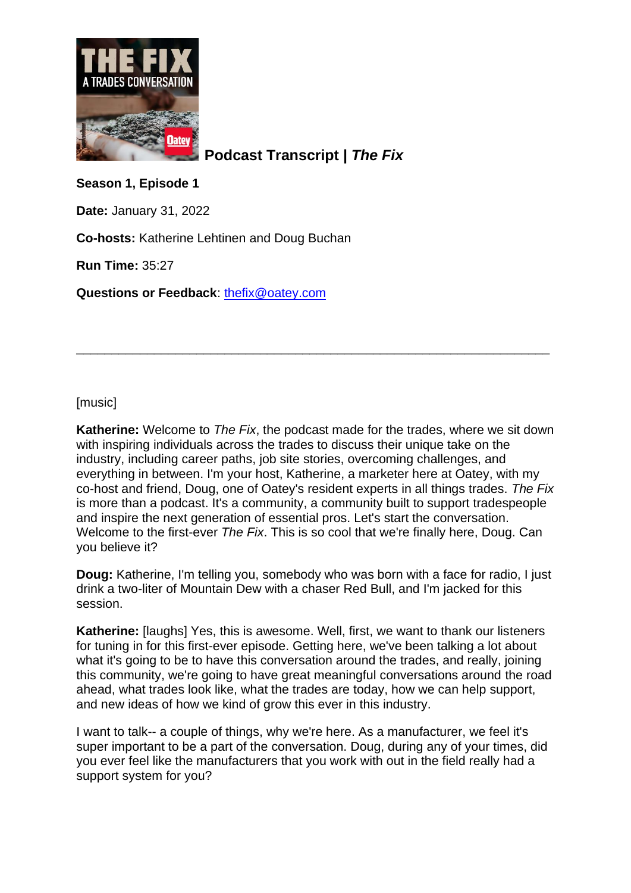

**Podcast Transcript |** *The Fix*

**Season 1, Episode 1**

**Date:** January 31, 2022

**Co-hosts:** Katherine Lehtinen and Doug Buchan

**Run Time:** 35:27

**Questions or Feedback**: [thefix@oatey.com](mailto:thefix@oatey.com)

[music]

**Katherine:** Welcome to *The Fix*, the podcast made for the trades, where we sit down with inspiring individuals across the trades to discuss their unique take on the industry, including career paths, job site stories, overcoming challenges, and everything in between. I'm your host, Katherine, a marketer here at Oatey, with my co-host and friend, Doug, one of Oatey's resident experts in all things trades. *The Fix* is more than a podcast. It's a community, a community built to support tradespeople and inspire the next generation of essential pros. Let's start the conversation. Welcome to the first-ever *The Fix*. This is so cool that we're finally here, Doug. Can you believe it?

\_\_\_\_\_\_\_\_\_\_\_\_\_\_\_\_\_\_\_\_\_\_\_\_\_\_\_\_\_\_\_\_\_\_\_\_\_\_\_\_\_\_\_\_\_\_\_\_\_\_\_\_\_\_\_\_\_\_\_\_\_\_\_\_\_\_\_

**Doug:** Katherine, I'm telling you, somebody who was born with a face for radio, I just drink a two-liter of Mountain Dew with a chaser Red Bull, and I'm jacked for this session.

**Katherine:** [laughs] Yes, this is awesome. Well, first, we want to thank our listeners for tuning in for this first-ever episode. Getting here, we've been talking a lot about what it's going to be to have this conversation around the trades, and really, joining this community, we're going to have great meaningful conversations around the road ahead, what trades look like, what the trades are today, how we can help support, and new ideas of how we kind of grow this ever in this industry.

I want to talk-- a couple of things, why we're here. As a manufacturer, we feel it's super important to be a part of the conversation. Doug, during any of your times, did you ever feel like the manufacturers that you work with out in the field really had a support system for you?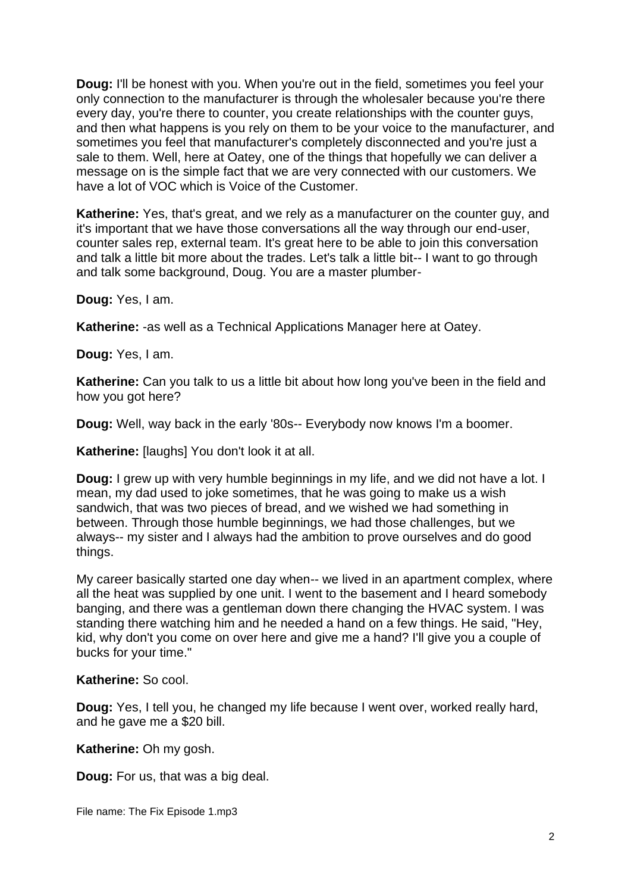**Doug:** I'll be honest with you. When you're out in the field, sometimes you feel your only connection to the manufacturer is through the wholesaler because you're there every day, you're there to counter, you create relationships with the counter guys, and then what happens is you rely on them to be your voice to the manufacturer, and sometimes you feel that manufacturer's completely disconnected and you're just a sale to them. Well, here at Oatey, one of the things that hopefully we can deliver a message on is the simple fact that we are very connected with our customers. We have a lot of VOC which is Voice of the Customer.

**Katherine:** Yes, that's great, and we rely as a manufacturer on the counter guy, and it's important that we have those conversations all the way through our end-user, counter sales rep, external team. It's great here to be able to join this conversation and talk a little bit more about the trades. Let's talk a little bit-- I want to go through and talk some background, Doug. You are a master plumber-

**Doug:** Yes, I am.

**Katherine:** -as well as a Technical Applications Manager here at Oatey.

**Doug:** Yes, I am.

**Katherine:** Can you talk to us a little bit about how long you've been in the field and how you got here?

**Doug:** Well, way back in the early '80s-- Everybody now knows I'm a boomer.

**Katherine:** [laughs] You don't look it at all.

**Doug:** I grew up with very humble beginnings in my life, and we did not have a lot. I mean, my dad used to joke sometimes, that he was going to make us a wish sandwich, that was two pieces of bread, and we wished we had something in between. Through those humble beginnings, we had those challenges, but we always-- my sister and I always had the ambition to prove ourselves and do good things.

My career basically started one day when-- we lived in an apartment complex, where all the heat was supplied by one unit. I went to the basement and I heard somebody banging, and there was a gentleman down there changing the HVAC system. I was standing there watching him and he needed a hand on a few things. He said, "Hey, kid, why don't you come on over here and give me a hand? I'll give you a couple of bucks for your time."

**Katherine:** So cool.

**Doug:** Yes, I tell you, he changed my life because I went over, worked really hard, and he gave me a \$20 bill.

**Katherine:** Oh my gosh.

**Doug:** For us, that was a big deal.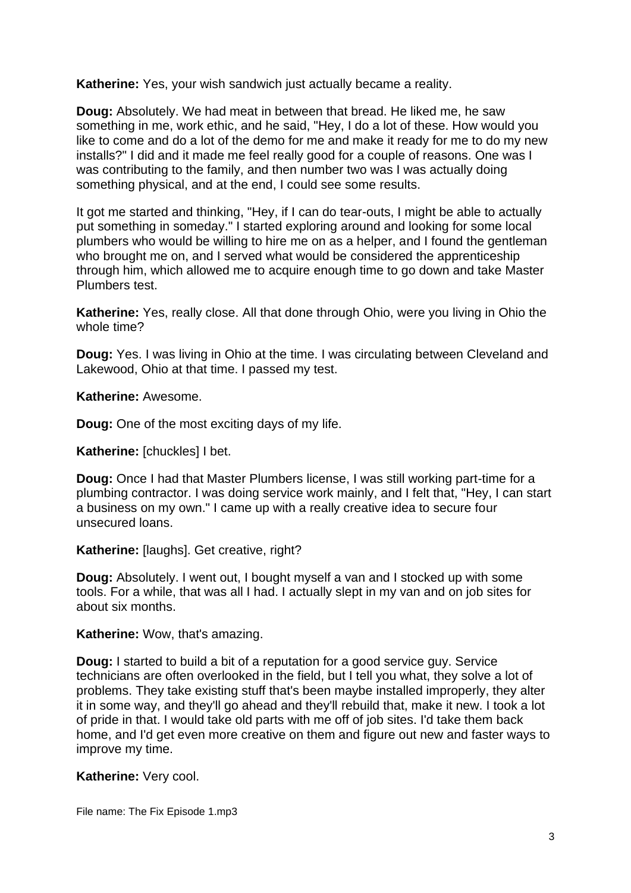**Katherine:** Yes, your wish sandwich just actually became a reality.

**Doug:** Absolutely. We had meat in between that bread. He liked me, he saw something in me, work ethic, and he said, "Hey, I do a lot of these. How would you like to come and do a lot of the demo for me and make it ready for me to do my new installs?" I did and it made me feel really good for a couple of reasons. One was I was contributing to the family, and then number two was I was actually doing something physical, and at the end, I could see some results.

It got me started and thinking, "Hey, if I can do tear-outs, I might be able to actually put something in someday." I started exploring around and looking for some local plumbers who would be willing to hire me on as a helper, and I found the gentleman who brought me on, and I served what would be considered the apprenticeship through him, which allowed me to acquire enough time to go down and take Master Plumbers test.

**Katherine:** Yes, really close. All that done through Ohio, were you living in Ohio the whole time?

**Doug:** Yes. I was living in Ohio at the time. I was circulating between Cleveland and Lakewood, Ohio at that time. I passed my test.

**Katherine:** Awesome.

**Doug:** One of the most exciting days of my life.

**Katherine:** [chuckles] I bet.

**Doug:** Once I had that Master Plumbers license, I was still working part-time for a plumbing contractor. I was doing service work mainly, and I felt that, "Hey, I can start a business on my own." I came up with a really creative idea to secure four unsecured loans.

**Katherine:** [laughs]. Get creative, right?

**Doug:** Absolutely. I went out, I bought myself a van and I stocked up with some tools. For a while, that was all I had. I actually slept in my van and on job sites for about six months.

**Katherine:** Wow, that's amazing.

**Doug:** I started to build a bit of a reputation for a good service guy. Service technicians are often overlooked in the field, but I tell you what, they solve a lot of problems. They take existing stuff that's been maybe installed improperly, they alter it in some way, and they'll go ahead and they'll rebuild that, make it new. I took a lot of pride in that. I would take old parts with me off of job sites. I'd take them back home, and I'd get even more creative on them and figure out new and faster ways to improve my time.

**Katherine:** Very cool.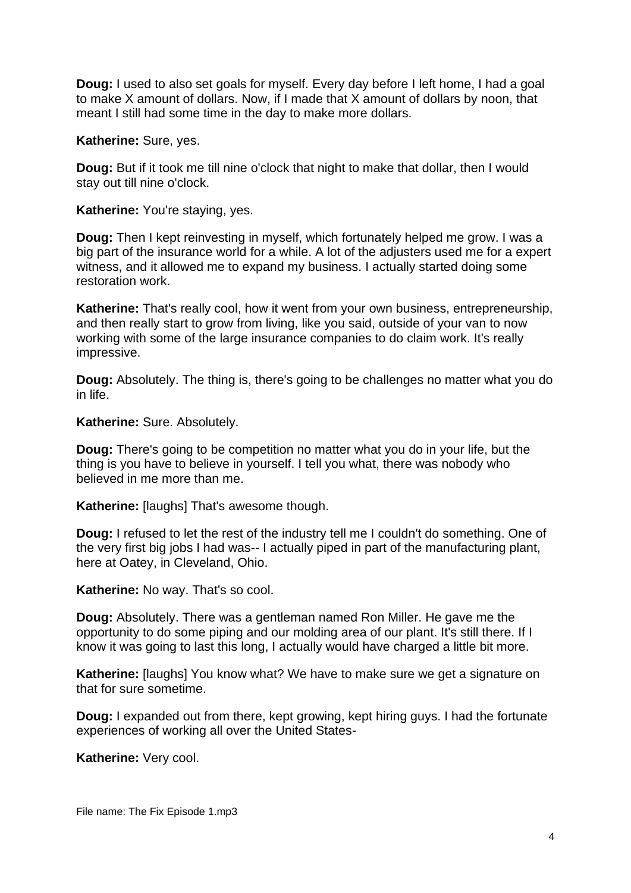**Doug:** I used to also set goals for myself. Every day before I left home, I had a goal to make X amount of dollars. Now, if I made that X amount of dollars by noon, that meant I still had some time in the day to make more dollars.

**Katherine:** Sure, yes.

**Doug:** But if it took me till nine o'clock that night to make that dollar, then I would stay out till nine o'clock.

**Katherine:** You're staying, yes.

**Doug:** Then I kept reinvesting in myself, which fortunately helped me grow. I was a big part of the insurance world for a while. A lot of the adjusters used me for a expert witness, and it allowed me to expand my business. I actually started doing some restoration work.

**Katherine:** That's really cool, how it went from your own business, entrepreneurship, and then really start to grow from living, like you said, outside of your van to now working with some of the large insurance companies to do claim work. It's really impressive.

**Doug:** Absolutely. The thing is, there's going to be challenges no matter what you do in life.

**Katherine:** Sure. Absolutely.

**Doug:** There's going to be competition no matter what you do in your life, but the thing is you have to believe in yourself. I tell you what, there was nobody who believed in me more than me.

**Katherine:** [laughs] That's awesome though.

**Doug:** I refused to let the rest of the industry tell me I couldn't do something. One of the very first big jobs I had was-- I actually piped in part of the manufacturing plant, here at Oatey, in Cleveland, Ohio.

**Katherine:** No way. That's so cool.

**Doug:** Absolutely. There was a gentleman named Ron Miller. He gave me the opportunity to do some piping and our molding area of our plant. It's still there. If I know it was going to last this long, I actually would have charged a little bit more.

**Katherine:** [laughs] You know what? We have to make sure we get a signature on that for sure sometime.

**Doug:** I expanded out from there, kept growing, kept hiring guys. I had the fortunate experiences of working all over the United States-

**Katherine:** Very cool.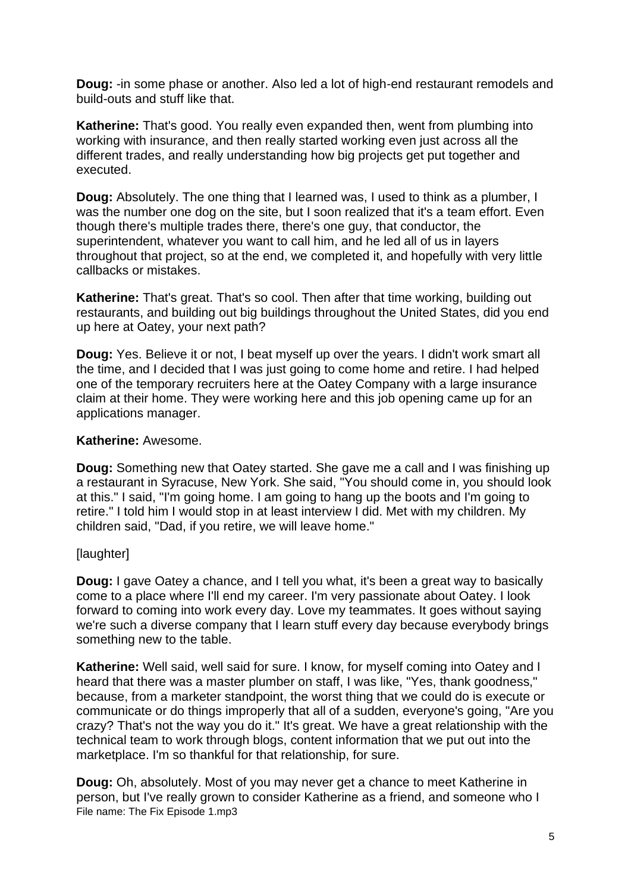**Doug:** -in some phase or another. Also led a lot of high-end restaurant remodels and build-outs and stuff like that.

**Katherine:** That's good. You really even expanded then, went from plumbing into working with insurance, and then really started working even just across all the different trades, and really understanding how big projects get put together and executed.

**Doug:** Absolutely. The one thing that I learned was, I used to think as a plumber, I was the number one dog on the site, but I soon realized that it's a team effort. Even though there's multiple trades there, there's one guy, that conductor, the superintendent, whatever you want to call him, and he led all of us in layers throughout that project, so at the end, we completed it, and hopefully with very little callbacks or mistakes.

**Katherine:** That's great. That's so cool. Then after that time working, building out restaurants, and building out big buildings throughout the United States, did you end up here at Oatey, your next path?

**Doug:** Yes. Believe it or not, I beat myself up over the years. I didn't work smart all the time, and I decided that I was just going to come home and retire. I had helped one of the temporary recruiters here at the Oatey Company with a large insurance claim at their home. They were working here and this job opening came up for an applications manager.

#### **Katherine:** Awesome.

**Doug:** Something new that Oatey started. She gave me a call and I was finishing up a restaurant in Syracuse, New York. She said, "You should come in, you should look at this." I said, "I'm going home. I am going to hang up the boots and I'm going to retire." I told him I would stop in at least interview I did. Met with my children. My children said, "Dad, if you retire, we will leave home."

## [laughter]

**Doug:** I gave Oatey a chance, and I tell you what, it's been a great way to basically come to a place where I'll end my career. I'm very passionate about Oatey. I look forward to coming into work every day. Love my teammates. It goes without saying we're such a diverse company that I learn stuff every day because everybody brings something new to the table.

**Katherine:** Well said, well said for sure. I know, for myself coming into Oatey and I heard that there was a master plumber on staff, I was like, "Yes, thank goodness," because, from a marketer standpoint, the worst thing that we could do is execute or communicate or do things improperly that all of a sudden, everyone's going, "Are you crazy? That's not the way you do it." It's great. We have a great relationship with the technical team to work through blogs, content information that we put out into the marketplace. I'm so thankful for that relationship, for sure.

File name: The Fix Episode 1.mp3 **Doug:** Oh, absolutely. Most of you may never get a chance to meet Katherine in person, but I've really grown to consider Katherine as a friend, and someone who I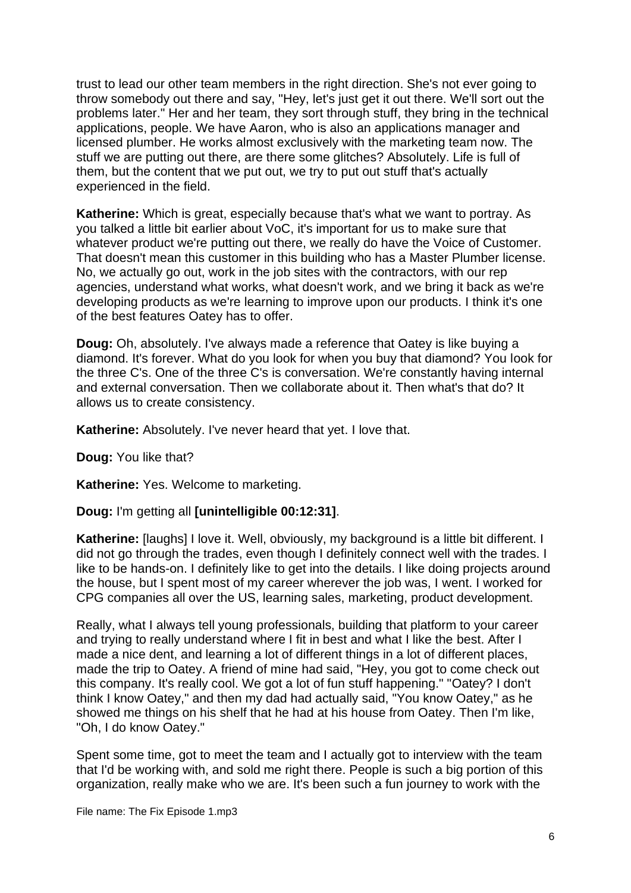trust to lead our other team members in the right direction. She's not ever going to throw somebody out there and say, "Hey, let's just get it out there. We'll sort out the problems later." Her and her team, they sort through stuff, they bring in the technical applications, people. We have Aaron, who is also an applications manager and licensed plumber. He works almost exclusively with the marketing team now. The stuff we are putting out there, are there some glitches? Absolutely. Life is full of them, but the content that we put out, we try to put out stuff that's actually experienced in the field.

**Katherine:** Which is great, especially because that's what we want to portray. As you talked a little bit earlier about VoC, it's important for us to make sure that whatever product we're putting out there, we really do have the Voice of Customer. That doesn't mean this customer in this building who has a Master Plumber license. No, we actually go out, work in the job sites with the contractors, with our rep agencies, understand what works, what doesn't work, and we bring it back as we're developing products as we're learning to improve upon our products. I think it's one of the best features Oatey has to offer.

**Doug:** Oh, absolutely. I've always made a reference that Oatey is like buying a diamond. It's forever. What do you look for when you buy that diamond? You look for the three C's. One of the three C's is conversation. We're constantly having internal and external conversation. Then we collaborate about it. Then what's that do? It allows us to create consistency.

**Katherine:** Absolutely. I've never heard that yet. I love that.

**Doug:** You like that?

**Katherine:** Yes. Welcome to marketing.

**Doug:** I'm getting all **[unintelligible 00:12:31]**.

Katherine: [laughs] I love it. Well, obviously, my background is a little bit different. I did not go through the trades, even though I definitely connect well with the trades. I like to be hands-on. I definitely like to get into the details. I like doing projects around the house, but I spent most of my career wherever the job was, I went. I worked for CPG companies all over the US, learning sales, marketing, product development.

Really, what I always tell young professionals, building that platform to your career and trying to really understand where I fit in best and what I like the best. After I made a nice dent, and learning a lot of different things in a lot of different places, made the trip to Oatey. A friend of mine had said, "Hey, you got to come check out this company. It's really cool. We got a lot of fun stuff happening." "Oatey? I don't think I know Oatey," and then my dad had actually said, "You know Oatey," as he showed me things on his shelf that he had at his house from Oatey. Then I'm like, "Oh, I do know Oatey."

Spent some time, got to meet the team and I actually got to interview with the team that I'd be working with, and sold me right there. People is such a big portion of this organization, really make who we are. It's been such a fun journey to work with the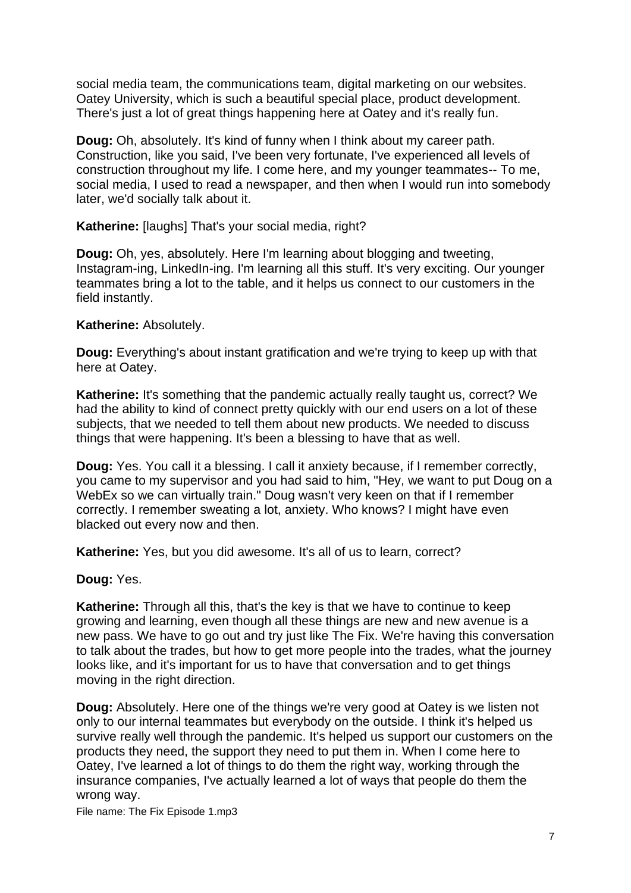social media team, the communications team, digital marketing on our websites. Oatey University, which is such a beautiful special place, product development. There's just a lot of great things happening here at Oatey and it's really fun.

**Doug:** Oh, absolutely. It's kind of funny when I think about my career path. Construction, like you said, I've been very fortunate, I've experienced all levels of construction throughout my life. I come here, and my younger teammates-- To me, social media, I used to read a newspaper, and then when I would run into somebody later, we'd socially talk about it.

**Katherine:** [laughs] That's your social media, right?

**Doug:** Oh, yes, absolutely. Here I'm learning about blogging and tweeting, Instagram-ing, LinkedIn-ing. I'm learning all this stuff. It's very exciting. Our younger teammates bring a lot to the table, and it helps us connect to our customers in the field instantly.

# **Katherine:** Absolutely.

**Doug:** Everything's about instant gratification and we're trying to keep up with that here at Oatey.

**Katherine:** It's something that the pandemic actually really taught us, correct? We had the ability to kind of connect pretty quickly with our end users on a lot of these subjects, that we needed to tell them about new products. We needed to discuss things that were happening. It's been a blessing to have that as well.

**Doug:** Yes. You call it a blessing. I call it anxiety because, if I remember correctly, you came to my supervisor and you had said to him, "Hey, we want to put Doug on a WebEx so we can virtually train." Doug wasn't very keen on that if I remember correctly. I remember sweating a lot, anxiety. Who knows? I might have even blacked out every now and then.

**Katherine:** Yes, but you did awesome. It's all of us to learn, correct?

**Doug:** Yes.

**Katherine:** Through all this, that's the key is that we have to continue to keep growing and learning, even though all these things are new and new avenue is a new pass. We have to go out and try just like The Fix. We're having this conversation to talk about the trades, but how to get more people into the trades, what the journey looks like, and it's important for us to have that conversation and to get things moving in the right direction.

**Doug:** Absolutely. Here one of the things we're very good at Oatey is we listen not only to our internal teammates but everybody on the outside. I think it's helped us survive really well through the pandemic. It's helped us support our customers on the products they need, the support they need to put them in. When I come here to Oatey, I've learned a lot of things to do them the right way, working through the insurance companies, I've actually learned a lot of ways that people do them the wrong way.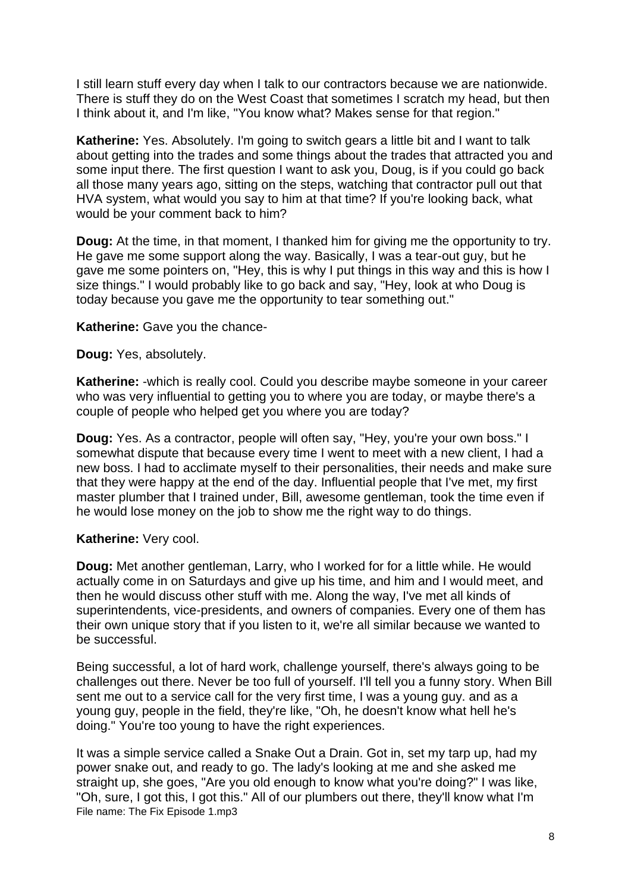I still learn stuff every day when I talk to our contractors because we are nationwide. There is stuff they do on the West Coast that sometimes I scratch my head, but then I think about it, and I'm like, "You know what? Makes sense for that region."

**Katherine:** Yes. Absolutely. I'm going to switch gears a little bit and I want to talk about getting into the trades and some things about the trades that attracted you and some input there. The first question I want to ask you, Doug, is if you could go back all those many years ago, sitting on the steps, watching that contractor pull out that HVA system, what would you say to him at that time? If you're looking back, what would be your comment back to him?

**Doug:** At the time, in that moment, I thanked him for giving me the opportunity to try. He gave me some support along the way. Basically, I was a tear-out guy, but he gave me some pointers on, "Hey, this is why I put things in this way and this is how I size things." I would probably like to go back and say, "Hey, look at who Doug is today because you gave me the opportunity to tear something out."

**Katherine:** Gave you the chance-

**Doug:** Yes, absolutely.

**Katherine:** -which is really cool. Could you describe maybe someone in your career who was very influential to getting you to where you are today, or maybe there's a couple of people who helped get you where you are today?

**Doug:** Yes. As a contractor, people will often say, "Hey, you're your own boss." I somewhat dispute that because every time I went to meet with a new client, I had a new boss. I had to acclimate myself to their personalities, their needs and make sure that they were happy at the end of the day. Influential people that I've met, my first master plumber that I trained under, Bill, awesome gentleman, took the time even if he would lose money on the job to show me the right way to do things.

## **Katherine:** Very cool.

**Doug:** Met another gentleman, Larry, who I worked for for a little while. He would actually come in on Saturdays and give up his time, and him and I would meet, and then he would discuss other stuff with me. Along the way, I've met all kinds of superintendents, vice-presidents, and owners of companies. Every one of them has their own unique story that if you listen to it, we're all similar because we wanted to be successful.

Being successful, a lot of hard work, challenge yourself, there's always going to be challenges out there. Never be too full of yourself. I'll tell you a funny story. When Bill sent me out to a service call for the very first time, I was a young guy. and as a young guy, people in the field, they're like, "Oh, he doesn't know what hell he's doing." You're too young to have the right experiences.

File name: The Fix Episode 1.mp3 It was a simple service called a Snake Out a Drain. Got in, set my tarp up, had my power snake out, and ready to go. The lady's looking at me and she asked me straight up, she goes, "Are you old enough to know what you're doing?" I was like, "Oh, sure, I got this, I got this." All of our plumbers out there, they'll know what I'm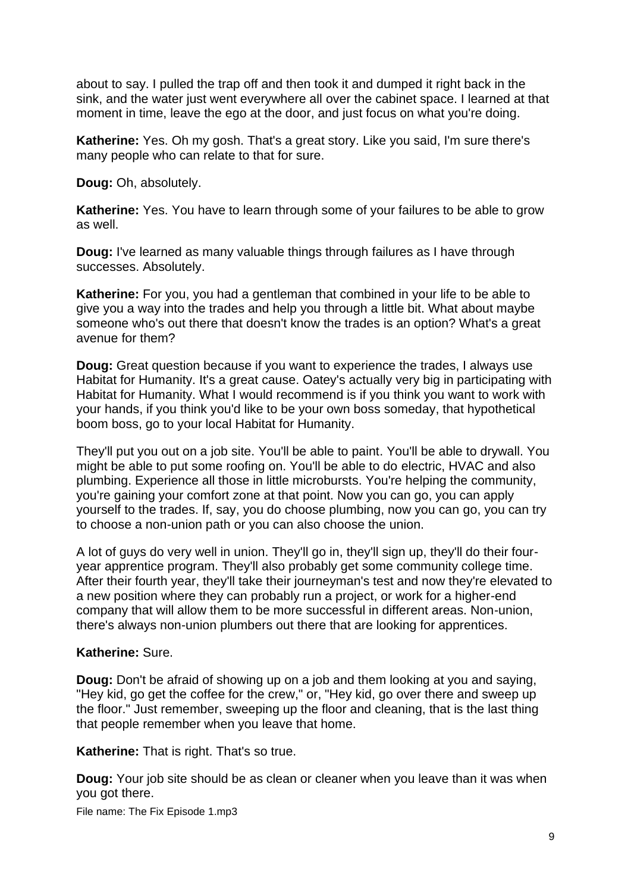about to say. I pulled the trap off and then took it and dumped it right back in the sink, and the water just went everywhere all over the cabinet space. I learned at that moment in time, leave the ego at the door, and just focus on what you're doing.

**Katherine:** Yes. Oh my gosh. That's a great story. Like you said, I'm sure there's many people who can relate to that for sure.

**Doug:** Oh, absolutely.

**Katherine:** Yes. You have to learn through some of your failures to be able to grow as well.

**Doug:** I've learned as many valuable things through failures as I have through successes. Absolutely.

**Katherine:** For you, you had a gentleman that combined in your life to be able to give you a way into the trades and help you through a little bit. What about maybe someone who's out there that doesn't know the trades is an option? What's a great avenue for them?

**Doug:** Great question because if you want to experience the trades, I always use Habitat for Humanity. It's a great cause. Oatey's actually very big in participating with Habitat for Humanity. What I would recommend is if you think you want to work with your hands, if you think you'd like to be your own boss someday, that hypothetical boom boss, go to your local Habitat for Humanity.

They'll put you out on a job site. You'll be able to paint. You'll be able to drywall. You might be able to put some roofing on. You'll be able to do electric, HVAC and also plumbing. Experience all those in little microbursts. You're helping the community, you're gaining your comfort zone at that point. Now you can go, you can apply yourself to the trades. If, say, you do choose plumbing, now you can go, you can try to choose a non-union path or you can also choose the union.

A lot of guys do very well in union. They'll go in, they'll sign up, they'll do their fouryear apprentice program. They'll also probably get some community college time. After their fourth year, they'll take their journeyman's test and now they're elevated to a new position where they can probably run a project, or work for a higher-end company that will allow them to be more successful in different areas. Non-union, there's always non-union plumbers out there that are looking for apprentices.

## **Katherine:** Sure.

**Doug:** Don't be afraid of showing up on a job and them looking at you and saying, "Hey kid, go get the coffee for the crew," or, "Hey kid, go over there and sweep up the floor." Just remember, sweeping up the floor and cleaning, that is the last thing that people remember when you leave that home.

**Katherine:** That is right. That's so true.

**Doug:** Your job site should be as clean or cleaner when you leave than it was when you got there.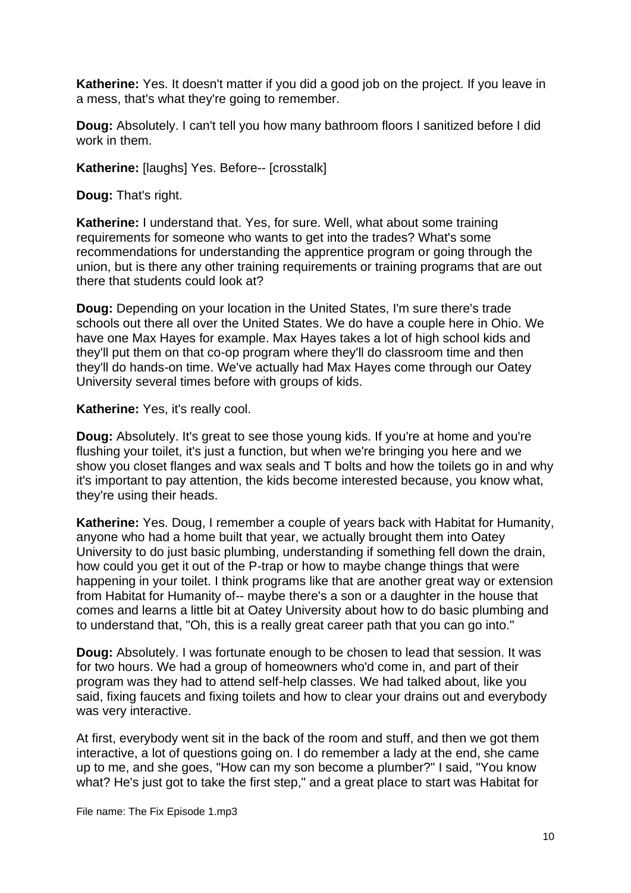**Katherine:** Yes. It doesn't matter if you did a good job on the project. If you leave in a mess, that's what they're going to remember.

**Doug:** Absolutely. I can't tell you how many bathroom floors I sanitized before I did work in them.

**Katherine:** [laughs] Yes. Before-- [crosstalk]

**Doug:** That's right.

**Katherine:** I understand that. Yes, for sure. Well, what about some training requirements for someone who wants to get into the trades? What's some recommendations for understanding the apprentice program or going through the union, but is there any other training requirements or training programs that are out there that students could look at?

**Doug:** Depending on your location in the United States, I'm sure there's trade schools out there all over the United States. We do have a couple here in Ohio. We have one Max Hayes for example. Max Hayes takes a lot of high school kids and they'll put them on that co-op program where they'll do classroom time and then they'll do hands-on time. We've actually had Max Hayes come through our Oatey University several times before with groups of kids.

#### **Katherine:** Yes, it's really cool.

**Doug:** Absolutely. It's great to see those young kids. If you're at home and you're flushing your toilet, it's just a function, but when we're bringing you here and we show you closet flanges and wax seals and T bolts and how the toilets go in and why it's important to pay attention, the kids become interested because, you know what, they're using their heads.

**Katherine:** Yes. Doug, I remember a couple of years back with Habitat for Humanity, anyone who had a home built that year, we actually brought them into Oatey University to do just basic plumbing, understanding if something fell down the drain, how could you get it out of the P-trap or how to maybe change things that were happening in your toilet. I think programs like that are another great way or extension from Habitat for Humanity of-- maybe there's a son or a daughter in the house that comes and learns a little bit at Oatey University about how to do basic plumbing and to understand that, "Oh, this is a really great career path that you can go into."

**Doug:** Absolutely. I was fortunate enough to be chosen to lead that session. It was for two hours. We had a group of homeowners who'd come in, and part of their program was they had to attend self-help classes. We had talked about, like you said, fixing faucets and fixing toilets and how to clear your drains out and everybody was very interactive.

At first, everybody went sit in the back of the room and stuff, and then we got them interactive, a lot of questions going on. I do remember a lady at the end, she came up to me, and she goes, "How can my son become a plumber?" I said, "You know what? He's just got to take the first step," and a great place to start was Habitat for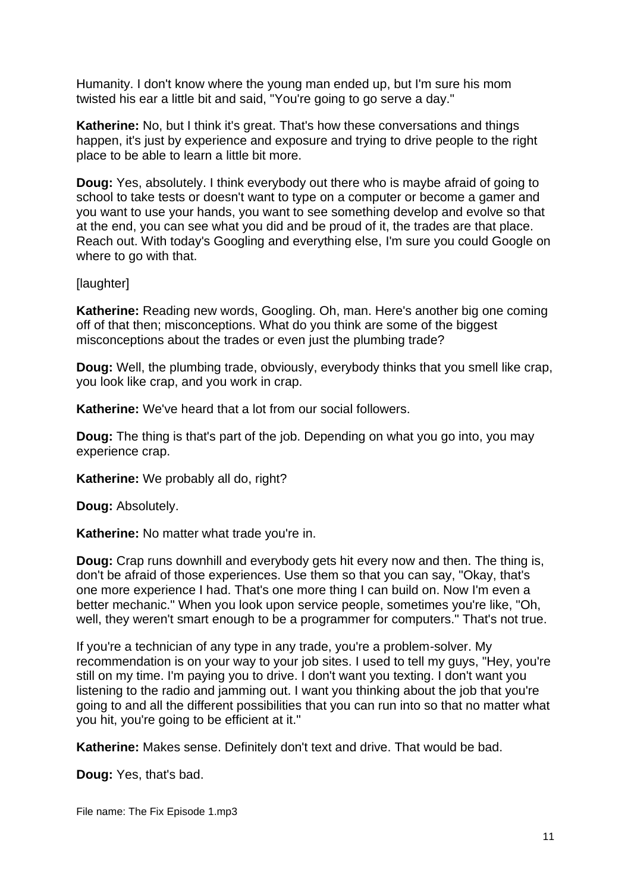Humanity. I don't know where the young man ended up, but I'm sure his mom twisted his ear a little bit and said, "You're going to go serve a day."

**Katherine:** No, but I think it's great. That's how these conversations and things happen, it's just by experience and exposure and trying to drive people to the right place to be able to learn a little bit more.

**Doug:** Yes, absolutely. I think everybody out there who is maybe afraid of going to school to take tests or doesn't want to type on a computer or become a gamer and you want to use your hands, you want to see something develop and evolve so that at the end, you can see what you did and be proud of it, the trades are that place. Reach out. With today's Googling and everything else, I'm sure you could Google on where to go with that.

[laughter]

**Katherine:** Reading new words, Googling. Oh, man. Here's another big one coming off of that then; misconceptions. What do you think are some of the biggest misconceptions about the trades or even just the plumbing trade?

**Doug:** Well, the plumbing trade, obviously, everybody thinks that you smell like crap, you look like crap, and you work in crap.

**Katherine:** We've heard that a lot from our social followers.

**Doug:** The thing is that's part of the job. Depending on what you go into, you may experience crap.

**Katherine:** We probably all do, right?

**Doug:** Absolutely.

**Katherine:** No matter what trade you're in.

**Doug:** Crap runs downhill and everybody gets hit every now and then. The thing is, don't be afraid of those experiences. Use them so that you can say, "Okay, that's one more experience I had. That's one more thing I can build on. Now I'm even a better mechanic." When you look upon service people, sometimes you're like, "Oh, well, they weren't smart enough to be a programmer for computers." That's not true.

If you're a technician of any type in any trade, you're a problem-solver. My recommendation is on your way to your job sites. I used to tell my guys, "Hey, you're still on my time. I'm paying you to drive. I don't want you texting. I don't want you listening to the radio and jamming out. I want you thinking about the job that you're going to and all the different possibilities that you can run into so that no matter what you hit, you're going to be efficient at it."

**Katherine:** Makes sense. Definitely don't text and drive. That would be bad.

**Doug:** Yes, that's bad.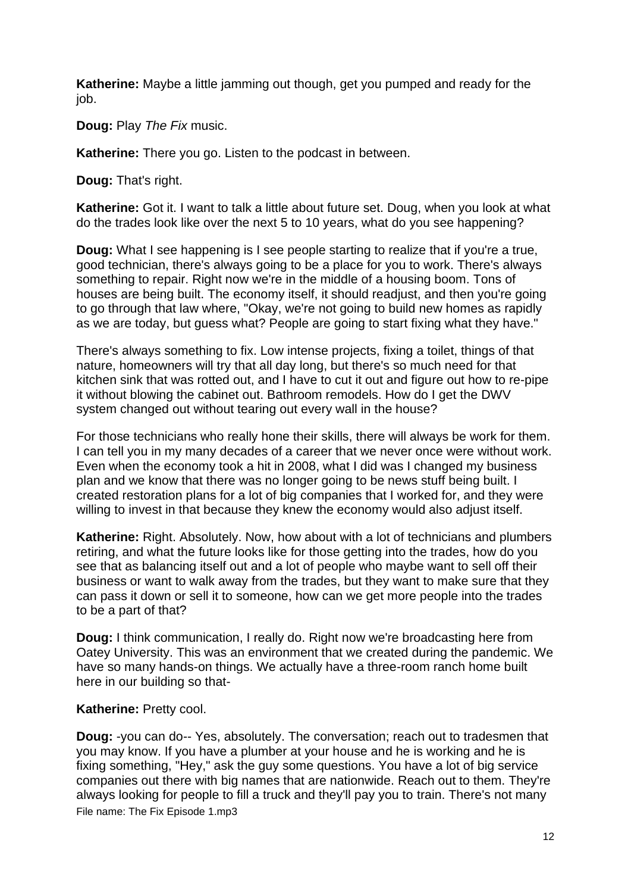**Katherine:** Maybe a little jamming out though, get you pumped and ready for the job.

**Doug:** Play *The Fix* music.

**Katherine:** There you go. Listen to the podcast in between.

**Doug:** That's right.

**Katherine:** Got it. I want to talk a little about future set. Doug, when you look at what do the trades look like over the next 5 to 10 years, what do you see happening?

**Doug:** What I see happening is I see people starting to realize that if you're a true, good technician, there's always going to be a place for you to work. There's always something to repair. Right now we're in the middle of a housing boom. Tons of houses are being built. The economy itself, it should readjust, and then you're going to go through that law where, "Okay, we're not going to build new homes as rapidly as we are today, but guess what? People are going to start fixing what they have."

There's always something to fix. Low intense projects, fixing a toilet, things of that nature, homeowners will try that all day long, but there's so much need for that kitchen sink that was rotted out, and I have to cut it out and figure out how to re-pipe it without blowing the cabinet out. Bathroom remodels. How do I get the DWV system changed out without tearing out every wall in the house?

For those technicians who really hone their skills, there will always be work for them. I can tell you in my many decades of a career that we never once were without work. Even when the economy took a hit in 2008, what I did was I changed my business plan and we know that there was no longer going to be news stuff being built. I created restoration plans for a lot of big companies that I worked for, and they were willing to invest in that because they knew the economy would also adjust itself.

**Katherine:** Right. Absolutely. Now, how about with a lot of technicians and plumbers retiring, and what the future looks like for those getting into the trades, how do you see that as balancing itself out and a lot of people who maybe want to sell off their business or want to walk away from the trades, but they want to make sure that they can pass it down or sell it to someone, how can we get more people into the trades to be a part of that?

**Doug:** I think communication, I really do. Right now we're broadcasting here from Oatey University. This was an environment that we created during the pandemic. We have so many hands-on things. We actually have a three-room ranch home built here in our building so that-

## **Katherine: Pretty cool.**

File name: The Fix Episode 1.mp3 **Doug:** -you can do-- Yes, absolutely. The conversation; reach out to tradesmen that you may know. If you have a plumber at your house and he is working and he is fixing something, "Hey," ask the guy some questions. You have a lot of big service companies out there with big names that are nationwide. Reach out to them. They're always looking for people to fill a truck and they'll pay you to train. There's not many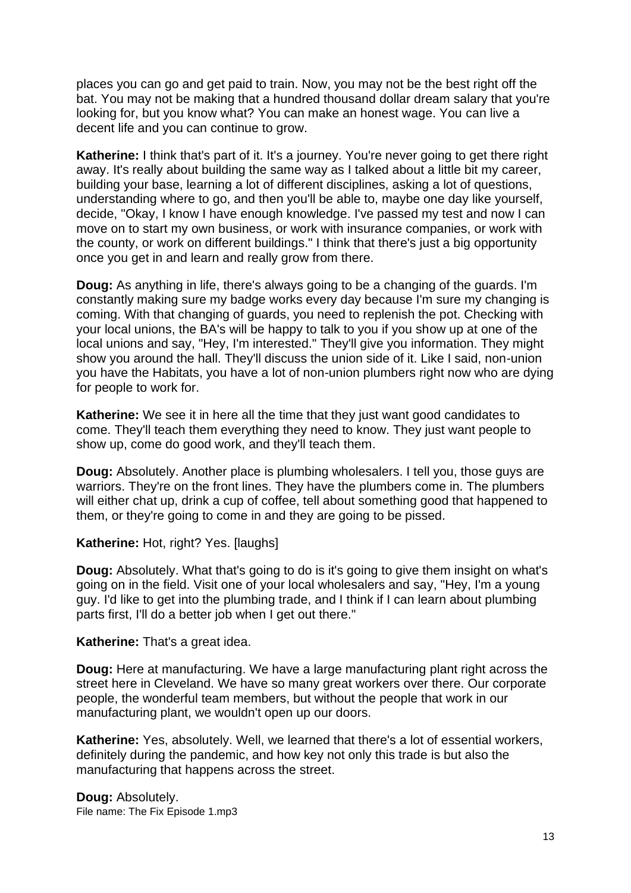places you can go and get paid to train. Now, you may not be the best right off the bat. You may not be making that a hundred thousand dollar dream salary that you're looking for, but you know what? You can make an honest wage. You can live a decent life and you can continue to grow.

**Katherine:** I think that's part of it. It's a journey. You're never going to get there right away. It's really about building the same way as I talked about a little bit my career, building your base, learning a lot of different disciplines, asking a lot of questions, understanding where to go, and then you'll be able to, maybe one day like yourself, decide, "Okay, I know I have enough knowledge. I've passed my test and now I can move on to start my own business, or work with insurance companies, or work with the county, or work on different buildings." I think that there's just a big opportunity once you get in and learn and really grow from there.

**Doug:** As anything in life, there's always going to be a changing of the guards. I'm constantly making sure my badge works every day because I'm sure my changing is coming. With that changing of guards, you need to replenish the pot. Checking with your local unions, the BA's will be happy to talk to you if you show up at one of the local unions and say, "Hey, I'm interested." They'll give you information. They might show you around the hall. They'll discuss the union side of it. Like I said, non-union you have the Habitats, you have a lot of non-union plumbers right now who are dying for people to work for.

**Katherine:** We see it in here all the time that they just want good candidates to come. They'll teach them everything they need to know. They just want people to show up, come do good work, and they'll teach them.

**Doug:** Absolutely. Another place is plumbing wholesalers. I tell you, those guys are warriors. They're on the front lines. They have the plumbers come in. The plumbers will either chat up, drink a cup of coffee, tell about something good that happened to them, or they're going to come in and they are going to be pissed.

Katherine: Hot, right? Yes. [laughs]

**Doug:** Absolutely. What that's going to do is it's going to give them insight on what's going on in the field. Visit one of your local wholesalers and say, "Hey, I'm a young guy. I'd like to get into the plumbing trade, and I think if I can learn about plumbing parts first, I'll do a better job when I get out there."

**Katherine:** That's a great idea.

**Doug:** Here at manufacturing. We have a large manufacturing plant right across the street here in Cleveland. We have so many great workers over there. Our corporate people, the wonderful team members, but without the people that work in our manufacturing plant, we wouldn't open up our doors.

**Katherine:** Yes, absolutely. Well, we learned that there's a lot of essential workers, definitely during the pandemic, and how key not only this trade is but also the manufacturing that happens across the street.

File name: The Fix Episode 1.mp3 **Doug:** Absolutely.